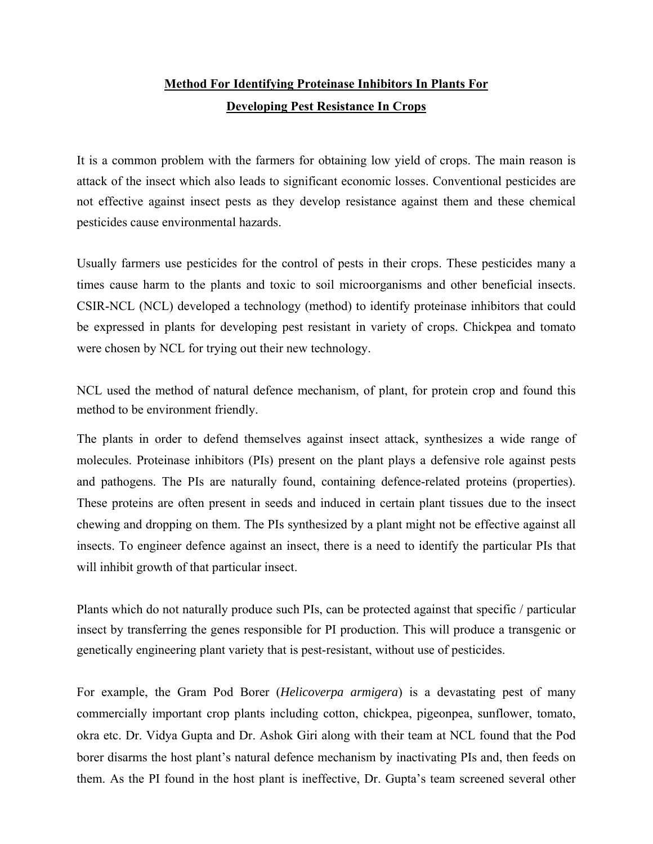## **Method For Identifying Proteinase Inhibitors In Plants For Developing Pest Resistance In Crops**

It is a common problem with the farmers for obtaining low yield of crops. The main reason is attack of the insect which also leads to significant economic losses. Conventional pesticides are not effective against insect pests as they develop resistance against them and these chemical pesticides cause environmental hazards.

Usually farmers use pesticides for the control of pests in their crops. These pesticides many a times cause harm to the plants and toxic to soil microorganisms and other beneficial insects. CSIR-NCL (NCL) developed a technology (method) to identify proteinase inhibitors that could be expressed in plants for developing pest resistant in variety of crops. Chickpea and tomato were chosen by NCL for trying out their new technology.

NCL used the method of natural defence mechanism, of plant, for protein crop and found this method to be environment friendly.

The plants in order to defend themselves against insect attack, synthesizes a wide range of molecules. Proteinase inhibitors (PIs) present on the plant plays a defensive role against pests and pathogens. The PIs are naturally found, containing defence-related proteins (properties). These proteins are often present in seeds and induced in certain plant tissues due to the insect chewing and dropping on them. The PIs synthesized by a plant might not be effective against all insects. To engineer defence against an insect, there is a need to identify the particular PIs that will inhibit growth of that particular insect.

Plants which do not naturally produce such PIs, can be protected against that specific / particular insect by transferring the genes responsible for PI production. This will produce a transgenic or genetically engineering plant variety that is pest-resistant, without use of pesticides.

For example, the Gram Pod Borer (*Helicoverpa armigera*) is a devastating pest of many commercially important crop plants including cotton, chickpea, pigeonpea, sunflower, tomato, okra etc. Dr. Vidya Gupta and Dr. Ashok Giri along with their team at NCL found that the Pod borer disarms the host plant's natural defence mechanism by inactivating PIs and, then feeds on them. As the PI found in the host plant is ineffective, Dr. Gupta's team screened several other